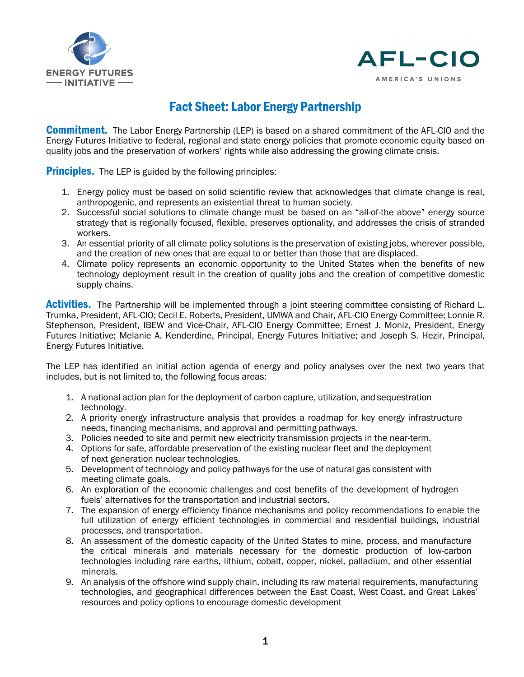



## Fact Sheet: Labor Energy Partnership

**Commitment.** The Labor Energy Partnership (LEP) is based on a shared commitment of the AFL-CIO and the Energy Futures Initiative to federal, regional and state energy policies that promote economic equity based on quality jobs and the preservation of workers' rights while also addressing the growing climate crisis.

Principles.The LEP is guided bythe following principles:

- 1. Energy policy must be based on solid scientific review that acknowledges that climate change is real, anthropogenic, and represents an existential threat to human society.
- 2. Successful social solutions to climate change must be based on an "all-of-the above" energy source strategy that is regionally focused, flexible, preserves optionality, and addresses the crisis of stranded workers.
- 3. An essential priority of all climate policy solutions is the preservation of existing jobs, wherever possible, and the creation of new ones that are equal to or better than those that are displaced.
- 4. Climate policy represents an economic opportunity to the United States when the benefits of new technology deployment result in the creation of quality jobs and the creation of competitive domestic supply chains.

**Activities.** The Partnership will be implemented through a joint steering committee consisting of Richard L. Trumka, President, AFL-CIO; Cecil E. Roberts, President, UMWA and Chair, AFL-CIO Energy Committee; Lonnie R. Stephenson, President, IBEW and Vice-Chair, AFL-CIO Energy Committee; Ernest J. Moniz, President, Energy Futures Initiative; Melanie A. Kenderdine, Principal, Energy Futures Initiative; and Joseph S. Hezir, Principal, Energy Futures Initiative.

The LEP has identified an initial action agenda of energy and policy analyses over the next two years that includes, but is not limited to, the following focus areas:

- 1. A national action plan for the deployment of carbon capture, utilization, and sequestration technology.
- 2. A priority energy infrastructure analysis that provides a roadmap for key energy infrastructure needs, financing mechanisms, and approval and permitting pathways.
- 3. Policies needed to site and permit new electricity transmission projects in the near-term.
- 4. Options for safe, affordable preservation of the existing nuclear fleet and the deployment of next generation nuclear technologies.
- 5. Development of technology and policy pathways for the use of natural gas consistent with meeting climate goals.
- 6. An exploration of the economic challenges and cost benefits of the development of hydrogen fuels' alternatives for the transportation and industrial sectors.
- 7. The expansion of energy efficiency finance mechanisms and policy recommendations to enable the full utilization of energy efficient technologies in commercial and residential buildings, industrial processes, and transportation.
- 8. An assessment of the domestic capacity of the United States to mine, process, and manufacture the critical minerals and materials necessary for the domestic production of low-carbon technologies including rare earths, lithium, cobalt, copper, nickel, palladium, and other essential minerals.
- 9. An analysis of the offshore wind supply chain, including its raw material requirements, manufacturing technologies, and geographical differences between the East Coast, West Coast, and Great Lakes' resources and policy options to encourage domestic development